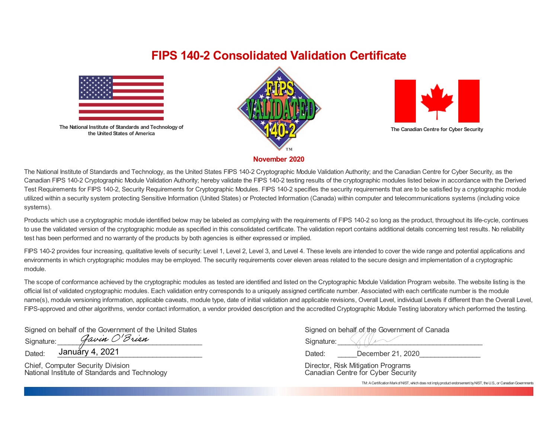## **FIPS 140-2 Consolidated Validation Certificate**



**The National Institute of Standards and Technology of the United States of America**





**The Canadian Centre for Cyber Security**

**November 2020**

The National Institute of Standards and Technology, as the United States FIPS 140-2 Cryptographic Module Validation Authority; and the Canadian Centre for Cyber Security, as the Canadian FIPS 140-2 Cryptographic Module Validation Authority; hereby validate the FIPS 140-2 testing results of the cryptographic modules listed below in accordance with the Derived Test Requirements for FIPS 140-2, Security Requirements for Cryptographic Modules. FIPS 140-2 specifies the security requirements that are to be satisfied by a cryptographic module utilized within a security system protecting Sensitive Information (United States) or Protected Information (Canada) within computer and telecommunications systems (including voice systems).

Products which use a cryptographic module identified below may be labeled as complying with the requirements of FIPS 140-2 so long as the product, throughout its life-cycle, continues to use the validated version of the cryptographic module as specified in this consolidated certificate. The validation report contains additional details concerning test results. No reliability test has been performed and no warranty of the products by both agencies is either expressed or implied.

FIPS 140-2 provides four increasing, qualitative levels of security: Level 1, Level 2, Level 3, and Level 4. These levels are intended to cover the wide range and potential applications and environments in which cryptographic modules may be employed. The security requirements cover eleven areas related to the secure design and implementation of a cryptographic module.

The scope of conformance achieved by the cryptographic modules as tested are identified and listed on the Cryptographic Module Validation Program website. The website listing is the official list of validated cryptographic modules. Each validation entry corresponds to a uniquely assigned certificate number. Associated with each certificate number is the module name(s), module versioning information, applicable caveats, module type, date of initial validation and applicable revisions, Overall Level, individual Levels if different than the Overall Level, FIPS-approved and other algorithms, vendor contact information, a vendor provided description and the accredited Cryptographic Module Testing laboratory which performed the testing.

Signed on behalf of the Government of the United States Signature:  $\mathcal{G}awin \ O'\mathcal{B}rian$ 

Dated: <u>January 4, 2021</u>

Chief, Computer Security Division National Institute of Standards and Technology

|            | Signed on behalf of the Government of Canada |
|------------|----------------------------------------------|
| Signature: |                                              |

Dated: December 21, 2020

 Director, Risk Mitigation Programs Canadian Centre for Cyber Security

TM: A Certification Markof NIST, which does not imply product endorsement by NIST, the U.S., or Canadian Governments